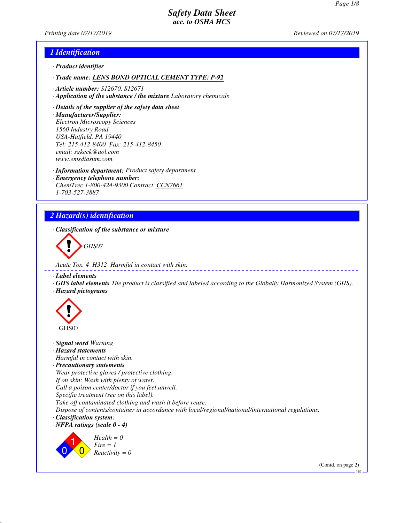*Printing date 07/17/2019 Reviewed on 07/17/2019*

### *1 Identification*

- *· Product identifier*
- *· Trade name: LENS BOND OPTICAL CEMENT TYPE: P-92*
- *· Article number: S12670, S12671*
- *· Application of the substance / the mixture Laboratory chemicals*
- *· Details of the supplier of the safety data sheet*
- *· Manufacturer/Supplier: Electron Microscopy Sciences 1560 Industry Road USA-Hatfield, PA 19440 Tel: 215-412-8400 Fax: 215-412-8450 email: sgkcck@aol.com www.emsdiasum.com*
- *· Information department: Product safety department*
- *· Emergency telephone number: ChemTrec 1-800-424-9300 Contract CCN7661 1-703-527-3887*

# *2 Hazard(s) identification*

*· Classification of the substance or mixture*

*GHS07*

*Acute Tox. 4 H312 Harmful in contact with skin.*

*· Label elements*

- *· GHS label elements The product is classified and labeled according to the Globally Harmonized System (GHS).*
- *· Hazard pictograms*



 $\overline{0}$ 

 $\overline{0}$ 

*Fire = 1 Reactivity = 0*

*· Signal word Warning · Hazard statements Harmful in contact with skin. · Precautionary statements Wear protective gloves / protective clothing. If on skin: Wash with plenty of water. Call a poison center/doctor if you feel unwell. Specific treatment (see on this label). Take off contaminated clothing and wash it before reuse. Dispose of contents/container in accordance with local/regional/national/international regulations. · Classification system: · NFPA ratings (scale 0 - 4)* 1 *Health = 0*

(Contd. on page 2) US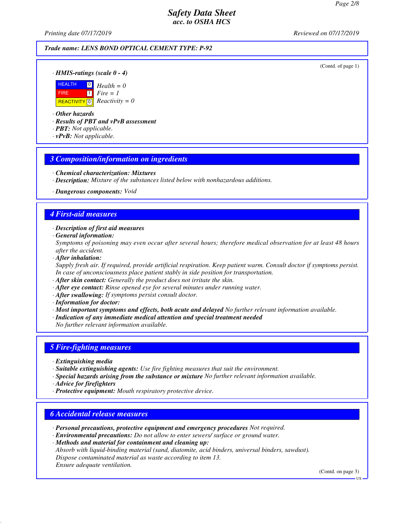*Printing date 07/17/2019 Reviewed on 07/17/2019*

#### *Trade name: LENS BOND OPTICAL CEMENT TYPE: P-92*

(Contd. of page 1)

*· HMIS-ratings (scale 0 - 4)*



*· Other hazards*

*· Results of PBT and vPvB assessment*

- *· PBT: Not applicable.*
- *· vPvB: Not applicable.*

### *3 Composition/information on ingredients*

- *· Chemical characterization: Mixtures*
- *· Description: Mixture of the substances listed below with nonhazardous additions.*
- *· Dangerous components: Void*

### *4 First-aid measures*

*· Description of first aid measures*

*· General information:*

*Symptoms of poisoning may even occur after several hours; therefore medical observation for at least 48 hours after the accident.*

*· After inhalation:*

*Supply fresh air. If required, provide artificial respiration. Keep patient warm. Consult doctor if symptoms persist. In case of unconsciousness place patient stably in side position for transportation.*

- *· After skin contact: Generally the product does not irritate the skin.*
- *· After eye contact: Rinse opened eye for several minutes under running water.*
- *· After swallowing: If symptoms persist consult doctor.*

*· Information for doctor:*

*· Most important symptoms and effects, both acute and delayed No further relevant information available.*

*· Indication of any immediate medical attention and special treatment needed*

*No further relevant information available.*

### *5 Fire-fighting measures*

- *· Extinguishing media*
- *· Suitable extinguishing agents: Use fire fighting measures that suit the environment.*
- *· Special hazards arising from the substance or mixture No further relevant information available.*
- *· Advice for firefighters*
- *· Protective equipment: Mouth respiratory protective device.*

### *6 Accidental release measures*

- *· Personal precautions, protective equipment and emergency procedures Not required.*
- *· Environmental precautions: Do not allow to enter sewers/ surface or ground water.*
- *· Methods and material for containment and cleaning up:*

*Absorb with liquid-binding material (sand, diatomite, acid binders, universal binders, sawdust). Dispose contaminated material as waste according to item 13. Ensure adequate ventilation.*

(Contd. on page 3)

US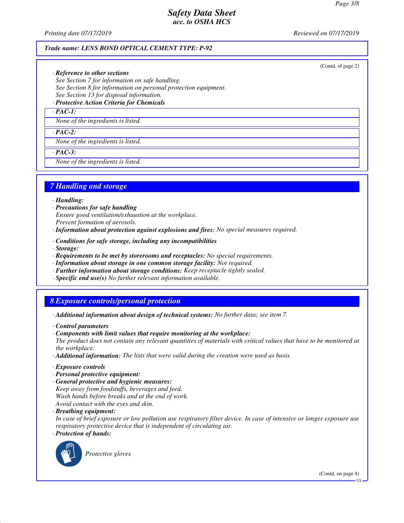*Printing date 07/17/2019 Reviewed on 07/17/2019*

(Contd. of page 2)

#### *Trade name: LENS BOND OPTICAL CEMENT TYPE: P-92*

*· Reference to other sections*

*See Section 7 for information on safe handling. See Section 8 for information on personal protection equipment.*

*See Section 13 for disposal information. · Protective Action Criteria for Chemicals*

*· PAC-1:*

*None of the ingredients is listed.*

*· PAC-2:*

*None of the ingredients is listed.*

*· PAC-3:*

*None of the ingredients is listed.*

### *7 Handling and storage*

*· Handling:*

- *· Precautions for safe handling*
- *Ensure good ventilation/exhaustion at the workplace.*

*Prevent formation of aerosols.*

*· Information about protection against explosions and fires: No special measures required.*

- *· Conditions for safe storage, including any incompatibilities*
- *· Storage:*
- *· Requirements to be met by storerooms and receptacles: No special requirements.*
- *· Information about storage in one common storage facility: Not required.*
- *· Further information about storage conditions: Keep receptacle tightly sealed.*
- *· Specific end use(s) No further relevant information available.*

# *8 Exposure controls/personal protection*

- *· Additional information about design of technical systems: No further data; see item 7.*
- *· Control parameters*
- *· Components with limit values that require monitoring at the workplace:*

*The product does not contain any relevant quantities of materials with critical values that have to be monitored at the workplace.*

- *· Additional information: The lists that were valid during the creation were used as basis.*
- *· Exposure controls*
- *· Personal protective equipment:*
- *· General protective and hygienic measures: Keep away from foodstuffs, beverages and feed. Wash hands before breaks and at the end of work.*

*Avoid contact with the eyes and skin.*

*· Breathing equipment:*

*In case of brief exposure or low pollution use respiratory filter device. In case of intensive or longer exposure use respiratory protective device that is independent of circulating air.*

*· Protection of hands:*



*Protective gloves*

(Contd. on page 4)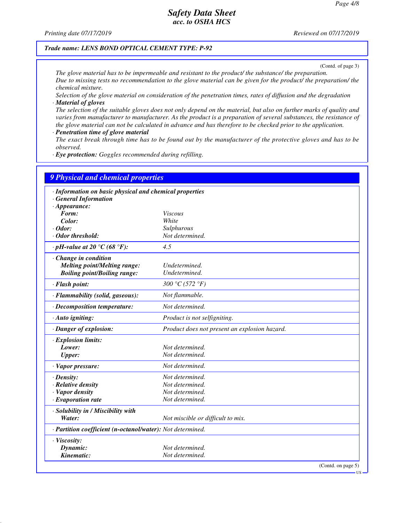*Printing date 07/17/2019 Reviewed on 07/17/2019*

*Trade name: LENS BOND OPTICAL CEMENT TYPE: P-92*

(Contd. of page 3)

*The glove material has to be impermeable and resistant to the product/ the substance/ the preparation. Due to missing tests no recommendation to the glove material can be given for the product/ the preparation/ the chemical mixture.*

*Selection of the glove material on consideration of the penetration times, rates of diffusion and the degradation · Material of gloves*

*The selection of the suitable gloves does not only depend on the material, but also on further marks of quality and varies from manufacturer to manufacturer. As the product is a preparation of several substances, the resistance of the glove material can not be calculated in advance and has therefore to be checked prior to the application.*

*· Penetration time of glove material*

*The exact break through time has to be found out by the manufacturer of the protective gloves and has to be observed.*

*· Eye protection: Goggles recommended during refilling.*

| <b>9 Physical and chemical properties</b>                  |                                               |  |  |  |
|------------------------------------------------------------|-----------------------------------------------|--|--|--|
| · Information on basic physical and chemical properties    |                                               |  |  |  |
| · General Information                                      |                                               |  |  |  |
| $\cdot$ Appearance:                                        |                                               |  |  |  |
| Form:                                                      | <i>Viscous</i>                                |  |  |  |
| Color:                                                     | White                                         |  |  |  |
| · Odor:                                                    | Sulphurous                                    |  |  |  |
| · Odor threshold:                                          | Not determined.                               |  |  |  |
| $\cdot$ pH-value at 20 °C (68 °F):                         | 4.5                                           |  |  |  |
| · Change in condition                                      |                                               |  |  |  |
| <b>Melting point/Melting range:</b>                        | Undetermined.                                 |  |  |  |
| <b>Boiling point/Boiling range:</b>                        | Undetermined.                                 |  |  |  |
| · Flash point:                                             | 300 °C (572 °F)                               |  |  |  |
| · Flammability (solid, gaseous):                           | Not flammable.                                |  |  |  |
| · Decomposition temperature:                               | Not determined.                               |  |  |  |
| · Auto igniting:                                           | Product is not selfigniting.                  |  |  |  |
| · Danger of explosion:                                     | Product does not present an explosion hazard. |  |  |  |
| · Explosion limits:                                        |                                               |  |  |  |
| Lower:                                                     | Not determined.                               |  |  |  |
| <b>Upper:</b>                                              | Not determined.                               |  |  |  |
| · Vapor pressure:                                          | Not determined.                               |  |  |  |
| $\cdot$ Density:                                           | Not determined.                               |  |  |  |
| $\cdot$ Relative density                                   | Not determined.                               |  |  |  |
| · Vapor density                                            | Not determined.                               |  |  |  |
| $\cdot$ Evaporation rate                                   | Not determined.                               |  |  |  |
| · Solubility in / Miscibility with                         |                                               |  |  |  |
| Water:                                                     | Not miscible or difficult to mix.             |  |  |  |
| · Partition coefficient (n-octanol/water): Not determined. |                                               |  |  |  |
| · Viscosity:                                               |                                               |  |  |  |
| Dynamic:                                                   | Not determined.                               |  |  |  |
| Kinematic:                                                 | Not determined.                               |  |  |  |
|                                                            | (Contd. on page $5$ )                         |  |  |  |

US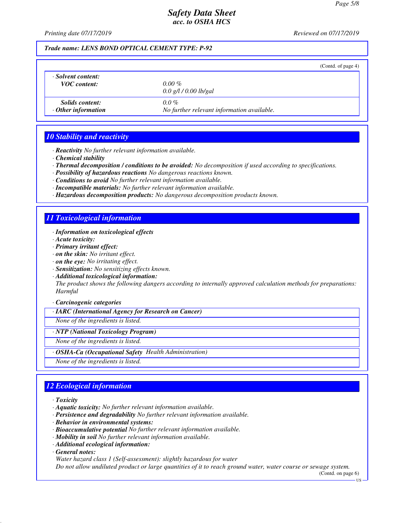*Printing date 07/17/2019 Reviewed on 07/17/2019*

*Trade name: LENS BOND OPTICAL CEMENT TYPE: P-92*

|                                                     |                                                       | (Contd. of page 4) |
|-----------------------------------------------------|-------------------------------------------------------|--------------------|
| · Solvent content:<br><b>VOC</b> content:           | $0.00\%$<br>$0.0$ g/l / 0.00 lb/gal                   |                    |
| <i>Solids content:</i><br>$\cdot$ Other information | $0.0\%$<br>No further relevant information available. |                    |

## *10 Stability and reactivity*

- *· Reactivity No further relevant information available.*
- *· Chemical stability*
- *· Thermal decomposition / conditions to be avoided: No decomposition if used according to specifications.*
- *· Possibility of hazardous reactions No dangerous reactions known.*
- *· Conditions to avoid No further relevant information available.*
- *· Incompatible materials: No further relevant information available.*
- *· Hazardous decomposition products: No dangerous decomposition products known.*

### *11 Toxicological information*

- *· Information on toxicological effects*
- *· Acute toxicity:*
- *· Primary irritant effect:*
- *· on the skin: No irritant effect.*
- *· on the eye: No irritating effect.*
- *· Sensitization: No sensitizing effects known.*
- *· Additional toxicological information:*

*The product shows the following dangers according to internally approved calculation methods for preparations: Harmful*

#### *· Carcinogenic categories*

*· IARC (International Agency for Research on Cancer)*

*None of the ingredients is listed.*

#### *· NTP (National Toxicology Program)*

*None of the ingredients is listed.*

*· OSHA-Ca (Occupational Safety Health Administration)*

*None of the ingredients is listed.*

## *12 Ecological information*

- *· Toxicity*
- *· Aquatic toxicity: No further relevant information available.*
- *· Persistence and degradability No further relevant information available.*
- *· Behavior in environmental systems:*
- *· Bioaccumulative potential No further relevant information available.*
- *· Mobility in soil No further relevant information available.*
- *· Additional ecological information:*
- *· General notes:*
- *Water hazard class 1 (Self-assessment): slightly hazardous for water*

*Do not allow undiluted product or large quantities of it to reach ground water, water course or sewage system.*

(Contd. on page 6)

US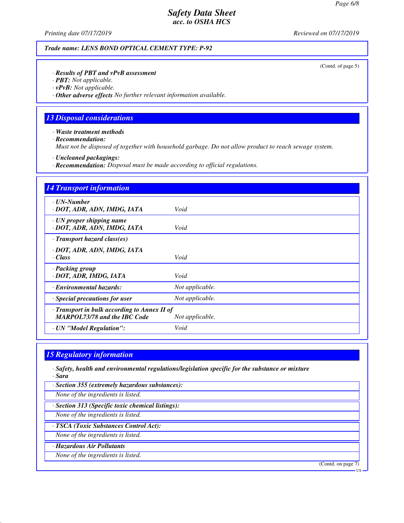*Printing date 07/17/2019 Reviewed on 07/17/2019*

*Trade name: LENS BOND OPTICAL CEMENT TYPE: P-92*

(Contd. of page 5)

*· Results of PBT and vPvB assessment*

*· PBT: Not applicable.*

*· vPvB: Not applicable.*

*· Other adverse effects No further relevant information available.*

## *13 Disposal considerations*

*· Waste treatment methods*

*· Recommendation:*

*Must not be disposed of together with household garbage. Do not allow product to reach sewage system.*

*· Uncleaned packagings:*

*· Recommendation: Disposal must be made according to official regulations.*

| <b>14 Transport information</b>                                                     |                 |  |  |  |
|-------------------------------------------------------------------------------------|-----------------|--|--|--|
| · UN-Number<br>· DOT, ADR, ADN, IMDG, IATA                                          | Void            |  |  |  |
| $\cdot$ UN proper shipping name<br>· DOT, ADR, ADN, IMDG, IATA                      | Void            |  |  |  |
| $\cdot$ Transport hazard class(es)                                                  |                 |  |  |  |
| · DOT, ADR, ADN, IMDG, IATA<br>$\cdot Class$                                        | Void            |  |  |  |
| · Packing group<br>· DOT, ADR, IMDG, IATA                                           | Void            |  |  |  |
| · Environmental hazards:                                                            | Not applicable. |  |  |  |
| Special precautions for user                                                        | Not applicable. |  |  |  |
| · Transport in bulk according to Annex II of<br><b>MARPOL73/78 and the IBC Code</b> | Not applicable. |  |  |  |
| · UN "Model Regulation":                                                            | Void            |  |  |  |

## *15 Regulatory information*

*· Safety, health and environmental regulations/legislation specific for the substance or mixture · Sara*

*· Section 355 (extremely hazardous substances):*

*None of the ingredients is listed.*

*· Section 313 (Specific toxic chemical listings):*

*None of the ingredients is listed.*

*· TSCA (Toxic Substances Control Act):*

*None of the ingredients is listed.*

*· Hazardous Air Pollutants*

*None of the ingredients is listed.*

(Contd. on page 7)

US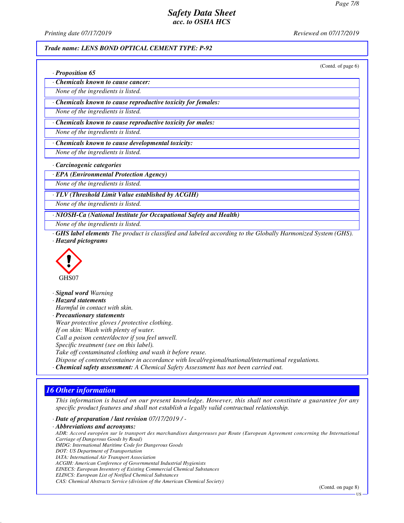*Printing date 07/17/2019 Reviewed on 07/17/2019*

#### *Trade name: LENS BOND OPTICAL CEMENT TYPE: P-92*

(Contd. of page 6)

|  |  | · Proposition 65 |  |
|--|--|------------------|--|
|--|--|------------------|--|

*· Chemicals known to cause cancer:*

*None of the ingredients is listed.*

*· Chemicals known to cause reproductive toxicity for females:*

*None of the ingredients is listed.*

*· Chemicals known to cause reproductive toxicity for males:*

*None of the ingredients is listed.*

*· Chemicals known to cause developmental toxicity:*

*None of the ingredients is listed.*

*· Carcinogenic categories*

*· EPA (Environmental Protection Agency)*

*None of the ingredients is listed.*

*· TLV (Threshold Limit Value established by ACGIH)*

*None of the ingredients is listed.*

*· NIOSH-Ca (National Institute for Occupational Safety and Health)*

*None of the ingredients is listed.*

*· GHS label elements The product is classified and labeled according to the Globally Harmonized System (GHS). · Hazard pictograms*



*· Signal word Warning*

*· Hazard statements*

*Harmful in contact with skin.*

*· Precautionary statements Wear protective gloves / protective clothing. If on skin: Wash with plenty of water. Call a poison center/doctor if you feel unwell.*

*Specific treatment (see on this label).*

*Take off contaminated clothing and wash it before reuse.*

*Dispose of contents/container in accordance with local/regional/national/international regulations.*

*· Chemical safety assessment: A Chemical Safety Assessment has not been carried out.*

## *16 Other information*

*This information is based on our present knowledge. However, this shall not constitute a guarantee for any specific product features and shall not establish a legally valid contractual relationship.*

*· Date of preparation / last revision 07/17/2019 / -*

*· Abbreviations and acronyms: ADR: Accord européen sur le transport des marchandises dangereuses par Route (European Agreement concerning the International Carriage of Dangerous Goods by Road) IMDG: International Maritime Code for Dangerous Goods DOT: US Department of Transportation IATA: International Air Transport Association ACGIH: American Conference of Governmental Industrial Hygienists EINECS: European Inventory of Existing Commercial Chemical Substances ELINCS: European List of Notified Chemical Substances CAS: Chemical Abstracts Service (division of the American Chemical Society)*

(Contd. on page 8)

**HS**